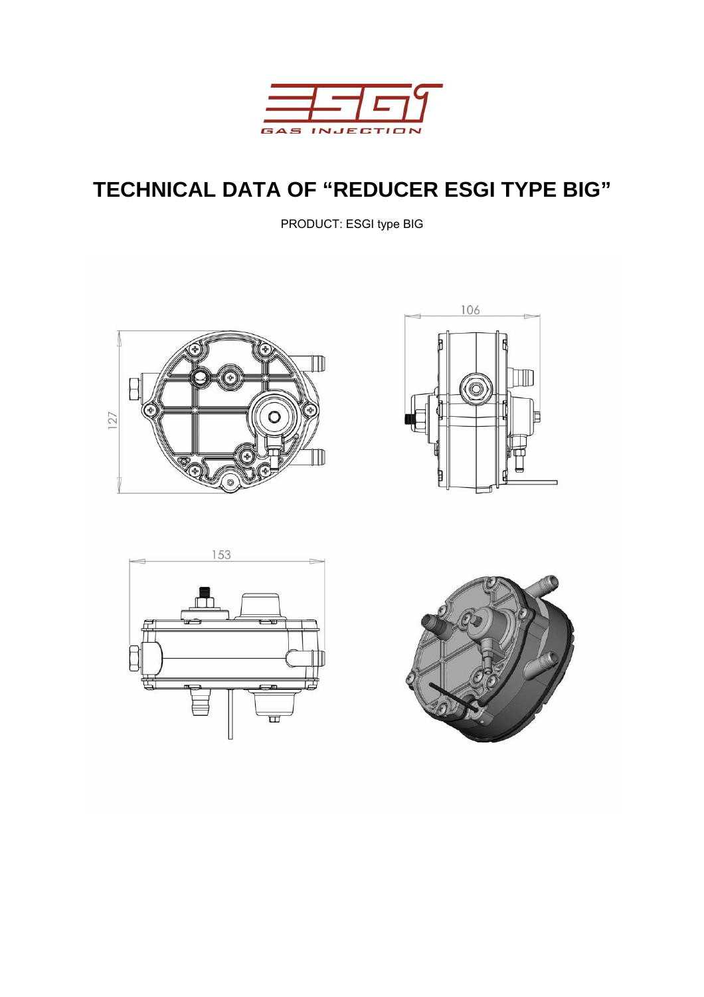

# **TECHNICAL DATA OF "REDUCER ESGI TYPE BIG"**

PRODUCT: ESGI type BIG







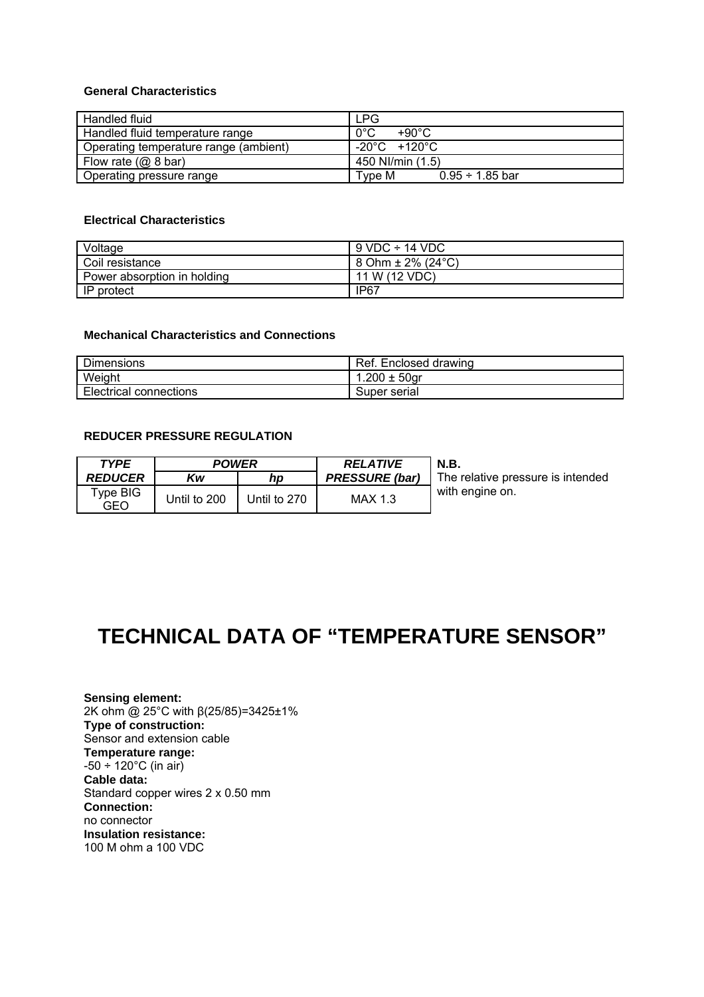### **General Characteristics**

| Handled fluid                         | <b>LPG</b>                     |
|---------------------------------------|--------------------------------|
| Handled fluid temperature range       | $0^{\circ}$ C<br>+90°C         |
| Operating temperature range (ambient) | -20°C +120°C                   |
| Flow rate $(Q, 8 \text{ bar})$        | 450 NI/min (1.5)               |
| Operating pressure range              | $0.95 \div 1.85$ bar<br>Tvpe M |

### **Electrical Characteristics**

| Voltage                     | $9$ VDC $\div$ 14 VDC                                  |
|-----------------------------|--------------------------------------------------------|
| Coil resistance             | $ 8 \text{ Ohm} \pm 2\% \text{ (24}^{\circ}\text{C)} $ |
| Power absorption in holding | 11 W (12 VDC)                                          |
| IP protect                  | IP67                                                   |

## **Mechanical Characteristics and Connections**

| <b>Dimensions</b>             | Ref. Enclosed drawing |
|-------------------------------|-----------------------|
| Weight                        | .200 $\pm$ 50gr       |
| <b>Electrical connections</b> | Super serial          |

#### **REDUCER PRESSURE REGULATION**

| TYPE            | <b>POWER</b> |              | <b>RELATIVE</b>       | <b>N.B.</b>                       |
|-----------------|--------------|--------------|-----------------------|-----------------------------------|
| <b>REDUCER</b>  | Kw           | np           | <b>PRESSURE (bar)</b> | The relative pressure is intended |
| Type BIG<br>GEO | Until to 200 | Until to 270 | <b>MAX 1.3</b>        | with engine on.                   |

# **TECHNICAL DATA OF "TEMPERATURE SENSOR"**

**Sensing element:** 2K ohm @ 25°C with β(25/85)=3425±1% **Type of construction:** Sensor and extension cable **Temperature range:**  $-50 \div 120^{\circ}$ C (in air) **Cable data:** Standard copper wires 2 x 0.50 mm **Connection:** no connector **Insulation resistance:** 100 M ohm a 100 VDC